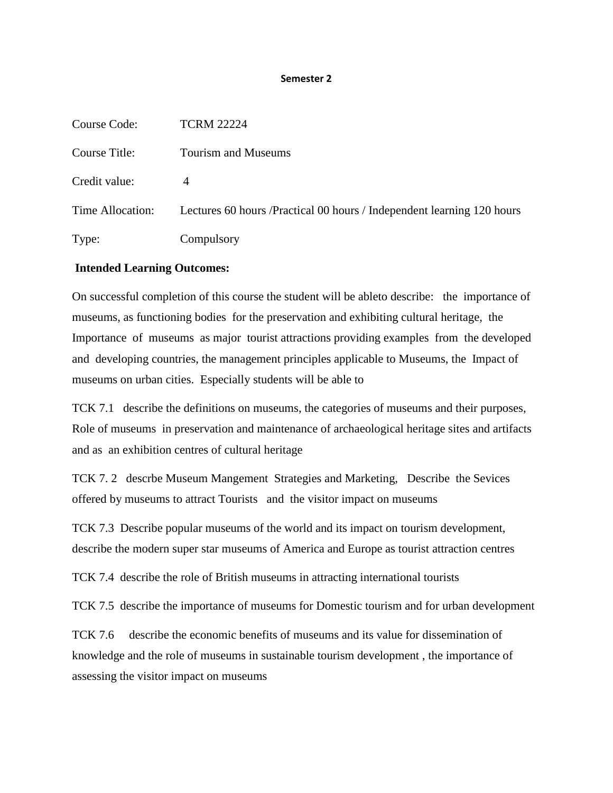#### **Semester 2**

| Course Code:     | <b>TCRM 22224</b>                                                       |
|------------------|-------------------------------------------------------------------------|
| Course Title:    | Tourism and Museums                                                     |
| Credit value:    | 4                                                                       |
| Time Allocation: | Lectures 60 hours / Practical 00 hours / Independent learning 120 hours |
| Type:            | Compulsory                                                              |

# **Intended Learning Outcomes:**

On successful completion of this course the student will be ableto describe: the importance of museums, as functioning bodies for the preservation and exhibiting cultural heritage, the Importance of museums as major tourist attractions providing examples from the developed and developing countries, the management principles applicable to Museums, the Impact of museums on urban cities. Especially students will be able to

TCK 7.1 describe the definitions on museums, the categories of museums and their purposes, Role of museums in preservation and maintenance of archaeological heritage sites and artifacts and as an exhibition centres of cultural heritage

TCK 7. 2 descrbe Museum Mangement Strategies and Marketing, Describe the Sevices offered by museums to attract Tourists and the visitor impact on museums

TCK 7.3 Describe popular museums of the world and its impact on tourism development, describe the modern super star museums of America and Europe as tourist attraction centres

TCK 7.4 describe the role of British museums in attracting international tourists

TCK 7.5 describe the importance of museums for Domestic tourism and for urban development

TCK 7.6 describe the economic benefits of museums and its value for dissemination of knowledge and the role of museums in sustainable tourism development , the importance of assessing the visitor impact on museums